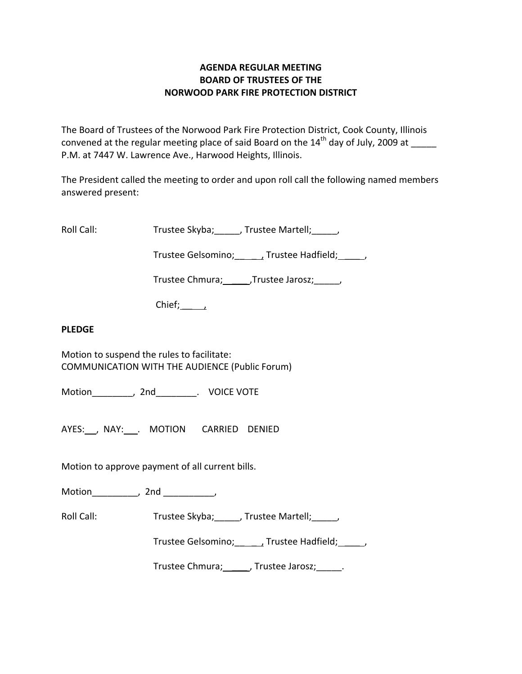## **AGENDA REGULAR MEETING BOARD OF TRUSTEES OF THE NORWOOD PARK FIRE PROTECTION DISTRICT**

The Board of Trustees of the Norwood Park Fire Protection District, Cook County, Illinois convened at the regular meeting place of said Board on the  $14<sup>th</sup>$  day of July, 2009 at P.M. at 7447 W. Lawrence Ave., Harwood Heights, Illinois.

The President called the meeting to order and upon roll call the following named members answered present:

Roll Call: Trustee Skyba; J. Trustee Martell; Trustee Martell;

Trustee Gelsomino; \_\_\_\_\_\_, Trustee Hadfield; \_\_\_\_\_,

Trustee Chmura; \_\_\_\_\_\_, Trustee Jarosz; \_\_\_\_\_\_,

 $Chief;$ 

## **PLEDGE**

Motion to suspend the rules to facilitate: COMMUNICATION WITH THE AUDIENCE (Public Forum)

Motion \_\_\_\_\_\_\_\_, 2nd \_\_\_\_\_\_\_\_. VOICE VOTE

AYES: NAY: MOTION CARRIED DENIED

Motion to approve payment of all current bills.

Motion \_\_\_\_\_\_\_\_, 2nd \_\_\_\_\_\_\_\_\_,

Roll Call: Trustee Skyba; J. Trustee Martell;

Trustee Gelsomino; \_\_\_\_\_\_, Trustee Hadfield; \_\_\_\_\_,

Trustee Chmura; \_\_\_\_\_\_, Trustee Jarosz; \_\_\_\_\_\_.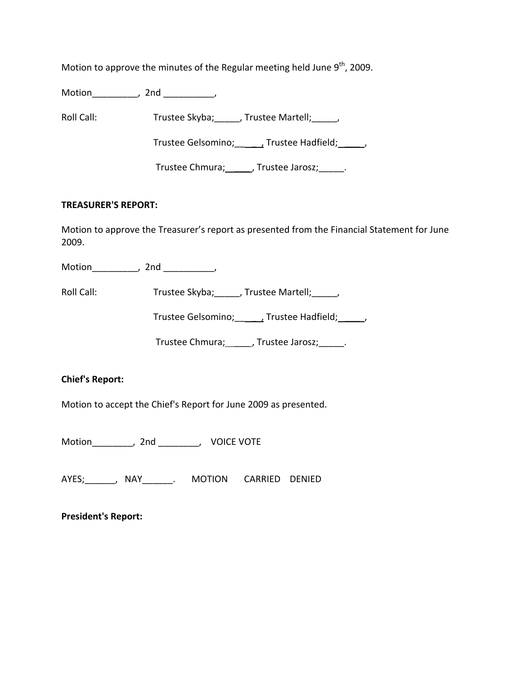Motion to approve the minutes of the Regular meeting held June  $9^{th}$ , 2009.

Motion\_\_\_\_\_\_\_\_\_, 2nd \_\_\_\_\_\_\_\_\_\_,

Roll Call: Trustee Skyba; Trustee Martell; Trustee Martell;

Trustee Gelsomino; \_\_\_\_\_\_, Trustee Hadfield; \_\_\_\_\_,

Trustee Chmura; \_\_\_\_\_\_, Trustee Jarosz; \_\_\_\_\_.

## **TREASURER'S REPORT:**

Motion to approve the Treasurer's report as presented from the Financial Statement for June 2009.

Motion\_\_\_\_\_\_\_\_\_\_, 2nd \_\_\_\_\_\_\_\_\_\_,

Roll Call: Trustee Skyba; \_\_\_\_, Trustee Martell; \_\_\_\_,

Trustee Gelsomino; \_\_\_\_\_\_, Trustee Hadfield; \_\_\_\_\_,

Trustee Chmura; \_\_\_\_\_\_, Trustee Jarosz; \_\_\_\_\_.

# **Chief's Report:**

Motion to accept the Chief's Report for June 2009 as presented.

Motion\_\_\_\_\_\_\_\_, 2nd \_\_\_\_\_\_\_\_, VOICE VOTE

AYES;\_\_\_\_\_\_, NAY\_\_\_\_\_\_. MOTION CARRIED DENIED

**President's Report:**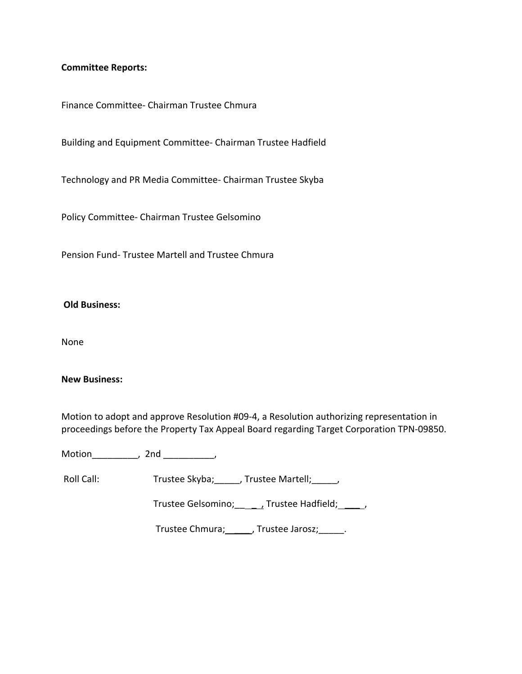### **Committee Reports:**

Finance Committee‐ Chairman Trustee Chmura

Building and Equipment Committee‐ Chairman Trustee Hadfield

Technology and PR Media Committee‐ Chairman Trustee Skyba

Policy Committee‐ Chairman Trustee Gelsomino

Pension Fund‐ Trustee Martell and Trustee Chmura

#### **Old Business:**

None

#### **New Business:**

Motion to adopt and approve Resolution #09‐4, a Resolution authorizing representation in proceedings before the Property Tax Appeal Board regarding Target Corporation TPN‐09850.

Motion\_\_\_\_\_\_\_\_\_\_, 2nd \_\_\_\_\_\_\_\_\_\_,

Roll Call: Trustee Skyba; \_\_\_\_, Trustee Martell; \_\_\_\_,

Trustee Gelsomino; \_\_\_\_\_\_, Trustee Hadfield; \_\_\_\_\_\_,

Trustee Chmura; \_\_\_\_\_\_, Trustee Jarosz; \_\_\_\_\_.